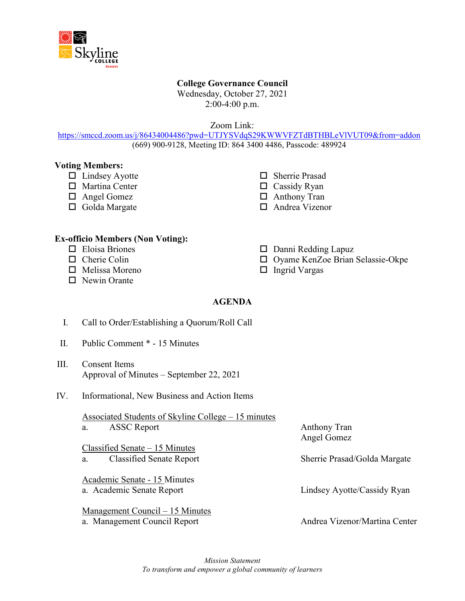

## **College Governance Council**

Wednesday, October 27, 2021 2:00-4:00 p.m.

Zoom Link:

<https://smccd.zoom.us/j/86434004486?pwd=UTJYSVdqS29KWWVFZTdBTHBLeVlVUT09&from=addon> (669) 900-9128, Meeting ID: 864 3400 4486, Passcode: 489924

## **Voting Members:**

- $\Box$  Lindsey Ayotte
- □ Martina Center
- □ Angel Gomez
- $\Box$  Golda Margate
- □ Sherrie Prasad
- $\Box$  Cassidy Ryan
- □ Anthony Tran
- Andrea Vizenor

## **Ex-officio Members (Non Voting):**

- $\Box$  Eloisa Briones
- $\Box$  Cherie Colin
- $\Box$  Melissa Moreno
- $\Box$  Newin Orante
- □ Danni Redding Lapuz
- □ Oyame KenZoe Brian Selassie-Okpe
- $\Box$  Ingrid Vargas

## **AGENDA**

I. Call to Order/Establishing a Quorum/Roll Call

- II. Public Comment \* 15 Minutes
- III. Consent Items Approval of Minutes – September 22, 2021
- IV. Informational, New Business and Action Items

Associated Students of Skyline College – 15 minutes a. ASSC Report Anthony Tran

Classified Senate – 15 Minutes a. Classified Senate Report Sherrie Prasad/Golda Margate

Academic Senate - 15 Minutes a. Academic Senate Report Lindsey Ayotte/Cassidy Ryan

Management Council – 15 Minutes a. Management Council Report **Andrea Vizenor/Martina Center** Andrea Vizenor/Martina Center

Angel Gomez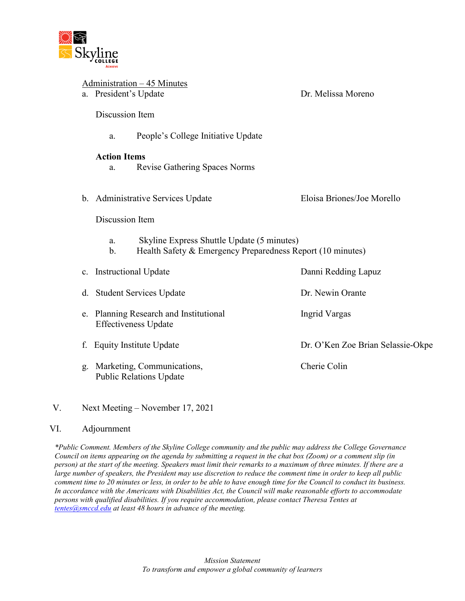

|    | a. President's Update     | Administration - 45 Minutes                                                                              | Dr. Melissa Moreno                |
|----|---------------------------|----------------------------------------------------------------------------------------------------------|-----------------------------------|
|    | Discussion Item           |                                                                                                          |                                   |
|    | a.                        | People's College Initiative Update                                                                       |                                   |
|    | <b>Action Items</b><br>a. | Revise Gathering Spaces Norms                                                                            |                                   |
| b. |                           | <b>Administrative Services Update</b>                                                                    | Eloisa Briones/Joe Morello        |
|    | Discussion Item           |                                                                                                          |                                   |
|    | a.<br>b.                  | Skyline Express Shuttle Update (5 minutes)<br>Health Safety & Emergency Preparedness Report (10 minutes) |                                   |
|    | c. Instructional Update   |                                                                                                          | Danni Redding Lapuz               |
| d. |                           | <b>Student Services Update</b>                                                                           | Dr. Newin Orante                  |
|    |                           | e. Planning Research and Institutional<br><b>Effectiveness Update</b>                                    | <b>Ingrid Vargas</b>              |
| f. |                           | <b>Equity Institute Update</b>                                                                           | Dr. O'Ken Zoe Brian Selassie-Okpe |
| g. |                           | Marketing, Communications,<br><b>Public Relations Update</b>                                             | Cherie Colin                      |

## V. Next Meeting – November 17, 2021

### VI. Adjournment

*\*Public Comment. Members of the Skyline College community and the public may address the College Governance Council on items appearing on the agenda by submitting a request in the chat box (Zoom) or a comment slip (in person) at the start of the meeting. Speakers must limit their remarks to a maximum of three minutes. If there are a large number of speakers, the President may use discretion to reduce the comment time in order to keep all public comment time to 20 minutes or less, in order to be able to have enough time for the Council to conduct its business. In accordance with the Americans with Disabilities Act, the Council will make reasonable efforts to accommodate persons with qualified disabilities. If you require accommodation, please contact Theresa Tentes at [tentes@smccd.edu](mailto:tentes@smccd.edu) at least 48 hours in advance of the meeting.*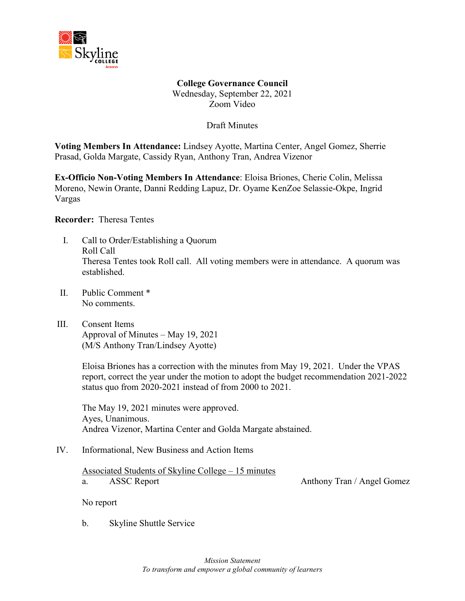

**College Governance Council** Wednesday, September 22, 2021 Zoom Video

Draft Minutes

**Voting Members In Attendance:** Lindsey Ayotte, Martina Center, Angel Gomez, Sherrie Prasad, Golda Margate, Cassidy Ryan, Anthony Tran, Andrea Vizenor

**Ex-Officio Non-Voting Members In Attendance**: Eloisa Briones, Cherie Colin, Melissa Moreno, Newin Orante, Danni Redding Lapuz, Dr. Oyame KenZoe Selassie-Okpe, Ingrid Vargas

**Recorder:** Theresa Tentes

- I. Call to Order/Establishing a Quorum Roll Call Theresa Tentes took Roll call. All voting members were in attendance. A quorum was established.
- II. Public Comment \* No comments.
- III. Consent Items Approval of Minutes – May 19, 2021 (M/S Anthony Tran/Lindsey Ayotte)

Eloisa Briones has a correction with the minutes from May 19, 2021. Under the VPAS report, correct the year under the motion to adopt the budget recommendation 2021-2022 status quo from 2020-2021 instead of from 2000 to 2021.

The May 19, 2021 minutes were approved. Ayes, Unanimous. Andrea Vizenor, Martina Center and Golda Margate abstained.

IV. Informational, New Business and Action Items

Associated Students of Skyline College – 15 minutes a. ASSC Report Anthony Tran / Angel Gomez

No report

b. Skyline Shuttle Service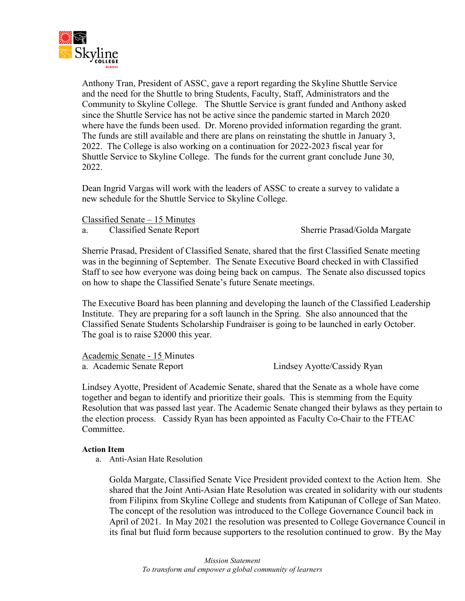

Anthony Tran, President of ASSC, gave a report regarding the Skyline Shuttle Service and the need for the Shuttle to bring Students, Faculty, Staff, Administrators and the Community to Skyline College. The Shuttle Service is grant funded and Anthony asked since the Shuttle Service has not be active since the pandemic started in March 2020 where have the funds been used. Dr. Moreno provided information regarding the grant. The funds are still available and there are plans on reinstating the shuttle in January 3, 2022. The College is also working on a continuation for 2022-2023 fiscal year for Shuttle Service to Skyline College. The funds for the current grant conclude June 30, 2022.

Dean Ingrid Vargas will work with the leaders of ASSC to create a survey to validate a new schedule for the Shuttle Service to Skyline College.

|--|

a. Classified Senate Report Sherrie Prasad/Golda Margate

Sherrie Prasad, President of Classified Senate, shared that the first Classified Senate meeting was in the beginning of September. The Senate Executive Board checked in with Classified Staff to see how everyone was doing being back on campus. The Senate also discussed topics on how to shape the Classified Senate's future Senate meetings.

The Executive Board has been planning and developing the launch of the Classified Leadership Institute. They are preparing for a soft launch in the Spring. She also announced that the Classified Senate Students Scholarship Fundraiser is going to be launched in early October. The goal is to raise \$2000 this year.

Academic Senate - 15 Minutes a. Academic Senate Report Lindsey Ayotte/Cassidy Ryan

Lindsey Ayotte, President of Academic Senate, shared that the Senate as a whole have come together and began to identify and prioritize their goals. This is stemming from the Equity Resolution that was passed last year. The Academic Senate changed their bylaws as they pertain to the election process. Cassidy Ryan has been appointed as Faculty Co-Chair to the FTEAC Committee.

### **Action Item**

a. Anti-Asian Hate Resolution

Golda Margate, Classified Senate Vice President provided context to the Action Item. She shared that the Joint Anti-Asian Hate Resolution was created in solidarity with our students from Filipinx from Skyline College and students from Katipunan of College of San Mateo. The concept of the resolution was introduced to the College Governance Council back in April of 2021. In May 2021 the resolution was presented to College Governance Council in its final but fluid form because supporters to the resolution continued to grow. By the May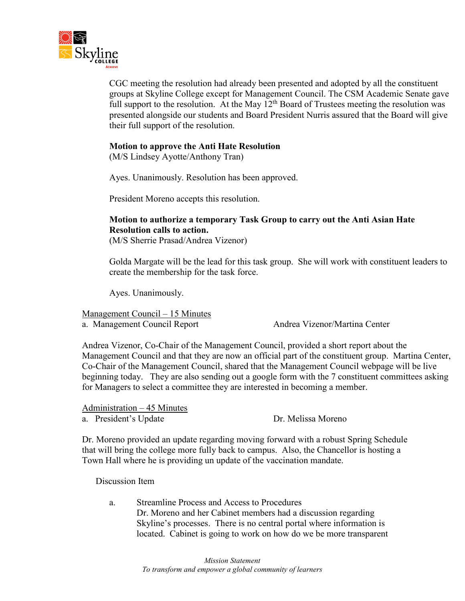

CGC meeting the resolution had already been presented and adopted by all the constituent groups at Skyline College except for Management Council. The CSM Academic Senate gave full support to the resolution. At the May  $12<sup>th</sup>$  Board of Trustees meeting the resolution was presented alongside our students and Board President Nurris assured that the Board will give their full support of the resolution.

## **Motion to approve the Anti Hate Resolution**

(M/S Lindsey Ayotte/Anthony Tran)

Ayes. Unanimously. Resolution has been approved.

President Moreno accepts this resolution.

## **Motion to authorize a temporary Task Group to carry out the Anti Asian Hate Resolution calls to action.**

(M/S Sherrie Prasad/Andrea Vizenor)

Golda Margate will be the lead for this task group. She will work with constituent leaders to create the membership for the task force.

Ayes. Unanimously.

Management Council – 15 Minutes a. Management Council Report Andrea Vizenor/Martina Center

Andrea Vizenor, Co-Chair of the Management Council, provided a short report about the Management Council and that they are now an official part of the constituent group. Martina Center, Co-Chair of the Management Council, shared that the Management Council webpage will be live beginning today. They are also sending out a google form with the 7 constituent committees asking for Managers to select a committee they are interested in becoming a member.

Administration – 45 Minutes

a. President's Update Dr. Melissa Moreno

Dr. Moreno provided an update regarding moving forward with a robust Spring Schedule that will bring the college more fully back to campus. Also, the Chancellor is hosting a Town Hall where he is providing un update of the vaccination mandate.

Discussion Item

a. Streamline Process and Access to Procedures Dr. Moreno and her Cabinet members had a discussion regarding Skyline's processes. There is no central portal where information is located. Cabinet is going to work on how do we be more transparent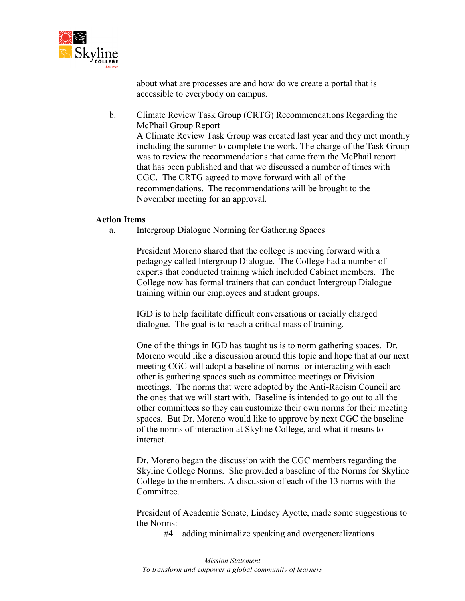

about what are processes are and how do we create a portal that is accessible to everybody on campus.

b. Climate Review Task Group (CRTG) Recommendations Regarding the McPhail Group Report A Climate Review Task Group was created last year and they met monthly including the summer to complete the work. The charge of the Task Group was to review the recommendations that came from the McPhail report that has been published and that we discussed a number of times with CGC. The CRTG agreed to move forward with all of the recommendations. The recommendations will be brought to the November meeting for an approval.

## **Action Items**

a. Intergroup Dialogue Norming for Gathering Spaces

President Moreno shared that the college is moving forward with a pedagogy called Intergroup Dialogue. The College had a number of experts that conducted training which included Cabinet members. The College now has formal trainers that can conduct Intergroup Dialogue training within our employees and student groups.

IGD is to help facilitate difficult conversations or racially charged dialogue. The goal is to reach a critical mass of training.

One of the things in IGD has taught us is to norm gathering spaces. Dr. Moreno would like a discussion around this topic and hope that at our next meeting CGC will adopt a baseline of norms for interacting with each other is gathering spaces such as committee meetings or Division meetings. The norms that were adopted by the Anti-Racism Council are the ones that we will start with. Baseline is intended to go out to all the other committees so they can customize their own norms for their meeting spaces. But Dr. Moreno would like to approve by next CGC the baseline of the norms of interaction at Skyline College, and what it means to interact.

Dr. Moreno began the discussion with the CGC members regarding the Skyline College Norms. She provided a baseline of the Norms for Skyline College to the members. A discussion of each of the 13 norms with the Committee.

President of Academic Senate, Lindsey Ayotte, made some suggestions to the Norms:

#4 – adding minimalize speaking and overgeneralizations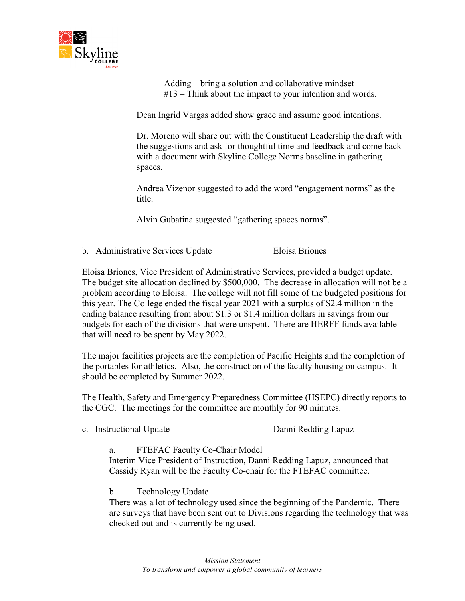

Adding – bring a solution and collaborative mindset #13 – Think about the impact to your intention and words.

Dean Ingrid Vargas added show grace and assume good intentions.

Dr. Moreno will share out with the Constituent Leadership the draft with the suggestions and ask for thoughtful time and feedback and come back with a document with Skyline College Norms baseline in gathering spaces.

Andrea Vizenor suggested to add the word "engagement norms" as the title.

Alvin Gubatina suggested "gathering spaces norms".

b. Administrative Services Update Eloisa Briones

Eloisa Briones, Vice President of Administrative Services, provided a budget update. The budget site allocation declined by \$500,000. The decrease in allocation will not be a problem according to Eloisa. The college will not fill some of the budgeted positions for this year. The College ended the fiscal year 2021 with a surplus of \$2.4 million in the ending balance resulting from about \$1.3 or \$1.4 million dollars in savings from our budgets for each of the divisions that were unspent. There are HERFF funds available that will need to be spent by May 2022.

The major facilities projects are the completion of Pacific Heights and the completion of the portables for athletics. Also, the construction of the faculty housing on campus. It should be completed by Summer 2022.

The Health, Safety and Emergency Preparedness Committee (HSEPC) directly reports to the CGC. The meetings for the committee are monthly for 90 minutes.

c. Instructional Update Danni Redding Lapuz

a. FTEFAC Faculty Co-Chair Model

Interim Vice President of Instruction, Danni Redding Lapuz, announced that Cassidy Ryan will be the Faculty Co-chair for the FTEFAC committee.

b. Technology Update

There was a lot of technology used since the beginning of the Pandemic. There are surveys that have been sent out to Divisions regarding the technology that was checked out and is currently being used.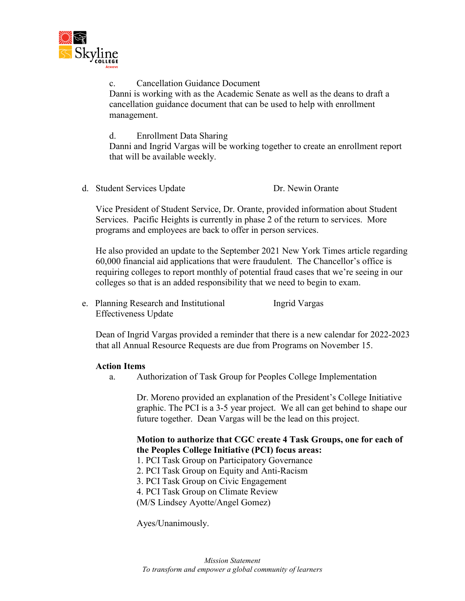

c. Cancellation Guidance Document

Danni is working with as the Academic Senate as well as the deans to draft a cancellation guidance document that can be used to help with enrollment management.

d. Enrollment Data Sharing

Danni and Ingrid Vargas will be working together to create an enrollment report that will be available weekly.

d. Student Services Update Dr. Newin Orante

Vice President of Student Service, Dr. Orante, provided information about Student Services. Pacific Heights is currently in phase 2 of the return to services. More programs and employees are back to offer in person services.

He also provided an update to the September 2021 New York Times article regarding 60,000 financial aid applications that were fraudulent. The Chancellor's office is requiring colleges to report monthly of potential fraud cases that we're seeing in our colleges so that is an added responsibility that we need to begin to exam.

e. Planning Research and Institutional Ingrid Vargas Effectiveness Update

Dean of Ingrid Vargas provided a reminder that there is a new calendar for 2022-2023 that all Annual Resource Requests are due from Programs on November 15.

## **Action Items**

a. Authorization of Task Group for Peoples College Implementation

Dr. Moreno provided an explanation of the President's College Initiative graphic. The PCI is a 3-5 year project. We all can get behind to shape our future together. Dean Vargas will be the lead on this project.

## **Motion to authorize that CGC create 4 Task Groups, one for each of the Peoples College Initiative (PCI) focus areas:**

- 1. PCI Task Group on Participatory Governance
- 2. PCI Task Group on Equity and Anti-Racism
- 3. PCI Task Group on Civic Engagement
- 4. PCI Task Group on Climate Review
- (M/S Lindsey Ayotte/Angel Gomez)

Ayes/Unanimously.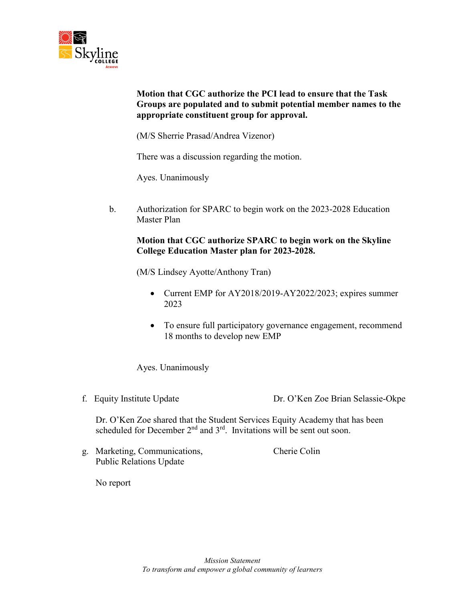

## **Motion that CGC authorize the PCI lead to ensure that the Task Groups are populated and to submit potential member names to the appropriate constituent group for approval.**

(M/S Sherrie Prasad/Andrea Vizenor)

There was a discussion regarding the motion.

Ayes. Unanimously

b. Authorization for SPARC to begin work on the 2023-2028 Education Master Plan

## **Motion that CGC authorize SPARC to begin work on the Skyline College Education Master plan for 2023-2028.**

(M/S Lindsey Ayotte/Anthony Tran)

- Current EMP for AY2018/2019-AY2022/2023; expires summer 2023
- To ensure full participatory governance engagement, recommend 18 months to develop new EMP

Ayes. Unanimously

f. Equity Institute Update Dr. O'Ken Zoe Brian Selassie-Okpe

Dr. O'Ken Zoe shared that the Student Services Equity Academy that has been scheduled for December  $2<sup>nd</sup>$  and  $3<sup>rd</sup>$ . Invitations will be sent out soon.

g. Marketing, Communications, Cherie Colin Public Relations Update

No report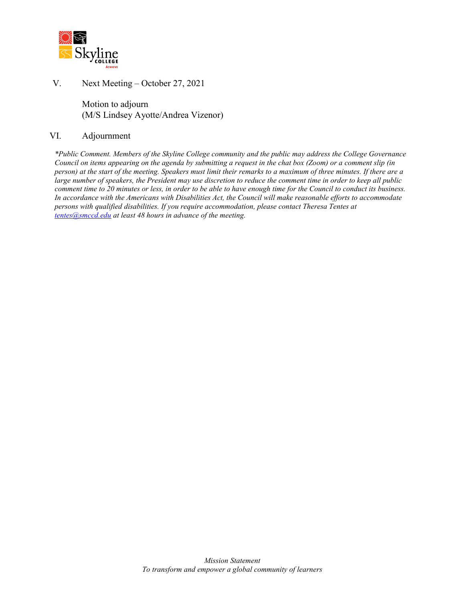

V. Next Meeting – October 27, 2021

Motion to adjourn (M/S Lindsey Ayotte/Andrea Vizenor)

## VI. Adjournment

*\*Public Comment. Members of the Skyline College community and the public may address the College Governance Council on items appearing on the agenda by submitting a request in the chat box (Zoom) or a comment slip (in person) at the start of the meeting. Speakers must limit their remarks to a maximum of three minutes. If there are a large number of speakers, the President may use discretion to reduce the comment time in order to keep all public comment time to 20 minutes or less, in order to be able to have enough time for the Council to conduct its business. In accordance with the Americans with Disabilities Act, the Council will make reasonable efforts to accommodate persons with qualified disabilities. If you require accommodation, please contact Theresa Tentes at [tentes@smccd.edu](mailto:tentes@smccd.edu) at least 48 hours in advance of the meeting.*